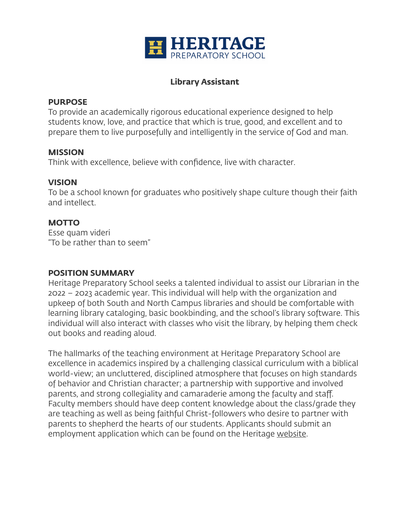

## **Library Assistant**

#### **PURPOSE**

To provide an academically rigorous educational experience designed to help students know, love, and practice that which is true, good, and excellent and to prepare them to live purposefully and intelligently in the service of God and man.

### **MISSION**

Think with excellence, believe with confidence, live with character.

#### **VISION**

To be a school known for graduates who positively shape culture though their faith and intellect.

## **MOTTO**

Esse quam videri "To be rather than to seem"

## **POSITION SUMMARY**

Heritage Preparatory School seeks a talented individual to assist our Librarian in the 2022 – 2023 academic year. This individual will help with the organization and upkeep of both South and North Campus libraries and should be comfortable with learning library cataloging, basic bookbinding, and the school's library software. This individual will also interact with classes who visit the library, by helping them check out books and reading aloud.

The hallmarks of the teaching environment at Heritage Preparatory School are excellence in academics inspired by a challenging classical curriculum with a biblical world-view; an uncluttered, disciplined atmosphere that focuses on high standards of behavior and Christian character; a partnership with supportive and involved parents, and strong collegiality and camaraderie among the faculty and staff. Faculty members should have deep content knowledge about the class/grade they are teaching as well as being faithful Christ-followers who desire to partner with parents to shepherd the hearts of our students. Applicants should submit an employment application which can be found on the Heritage [website](http://www.heritageprep.org).